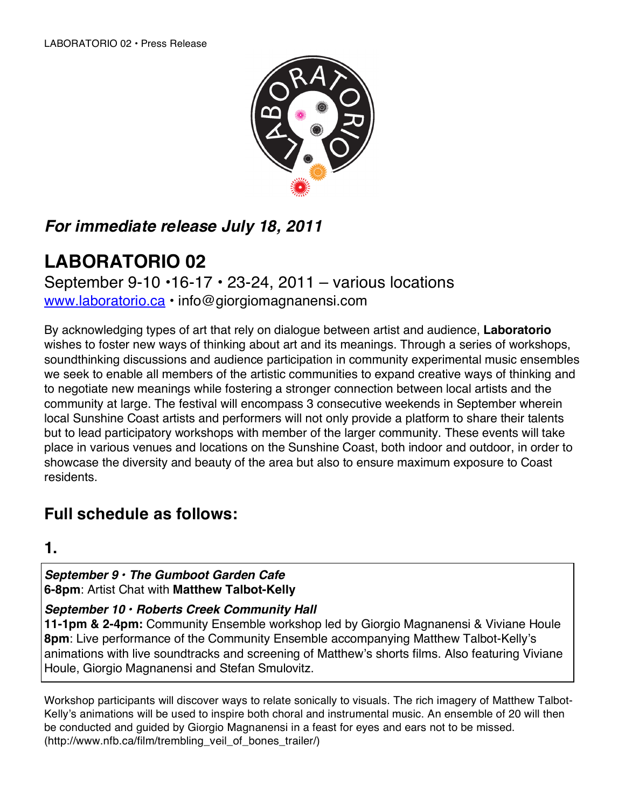

## *For immediate release July 18, 2011*

# **LABORATORIO 02**

September 9-10  $\cdot$ 16-17  $\cdot$  23-24, 2011 – various locations www.laboratorio.ca • info@giorgiomagnanensi.com

By acknowledging types of art that rely on dialogue between artist and audience, **Laboratorio** wishes to foster new ways of thinking about art and its meanings. Through a series of workshops, soundthinking discussions and audience participation in community experimental music ensembles we seek to enable all members of the artistic communities to expand creative ways of thinking and to negotiate new meanings while fostering a stronger connection between local artists and the community at large. The festival will encompass 3 consecutive weekends in September wherein local Sunshine Coast artists and performers will not only provide a platform to share their talents but to lead participatory workshops with member of the larger community. These events will take place in various venues and locations on the Sunshine Coast, both indoor and outdoor, in order to showcase the diversity and beauty of the area but also to ensure maximum exposure to Coast residents.

## **Full schedule as follows:**

**1.**

*September 9 • The Gumboot Garden Cafe* **6-8pm**: Artist Chat with **Matthew Talbot-Kelly**

*September 10 • Roberts Creek Community Hall* 

**11-1pm & 2-4pm:** Community Ensemble workshop led by Giorgio Magnanensi & Viviane Houle **8pm**: Live performance of the Community Ensemble accompanying Matthew Talbot-Kelly's animations with live soundtracks and screening of Matthew's shorts films. Also featuring Viviane Houle, Giorgio Magnanensi and Stefan Smulovitz.

Workshop participants will discover ways to relate sonically to visuals. The rich imagery of Matthew Talbot-Kelly's animations will be used to inspire both choral and instrumental music. An ensemble of 20 will then be conducted and guided by Giorgio Magnanensi in a feast for eyes and ears not to be missed. (http://www.nfb.ca/film/trembling\_veil\_of\_bones\_trailer/)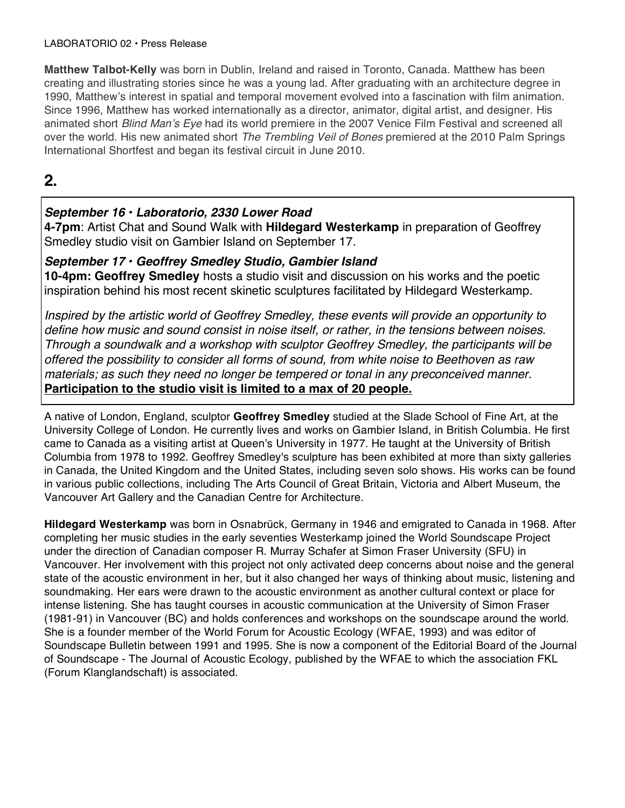#### LABORATORIO 02 • Press Release

**Matthew Talbot-Kelly** was born in Dublin, Ireland and raised in Toronto, Canada. Matthew has been creating and illustrating stories since he was a young lad. After graduating with an architecture degree in 1990, Matthew's interest in spatial and temporal movement evolved into a fascination with film animation. Since 1996, Matthew has worked internationally as a director, animator, digital artist, and designer. His animated short *Blind Man*'*s Eye* had its world premiere in the 2007 Venice Film Festival and screened all over the world. His new animated short *The Trembling Veil of Bones* premiered at the 2010 Palm Springs International Shortfest and began its festival circuit in June 2010.

## **2.**

### *September 16 • Laboratorio, 2330 Lower Road*

**4-7pm**: Artist Chat and Sound Walk with **Hildegard Westerkamp** in preparation of Geoffrey Smedley studio visit on Gambier Island on September 17.

#### *September 17 • Geoffrey Smedley Studio, Gambier Island*

**10-4pm: Geoffrey Smedley** hosts a studio visit and discussion on his works and the poetic inspiration behind his most recent skinetic sculptures facilitated by Hildegard Westerkamp.

*Inspired by the artistic world of Geoffrey Smedley, these events will provide an opportunity to define how music and sound consist in noise itself, or rather, in the tensions between noises. Through a soundwalk and a workshop with sculptor Geoffrey Smedley, the participants will be offered the possibility to consider all forms of sound, from white noise to Beethoven as raw materials; as such they need no longer be tempered or tonal in any preconceived manner.*  **Participation to the studio visit is limited to a max of 20 people.**

A native of London, England, sculptor **Geoffrey Smedley** studied at the Slade School of Fine Art, at the University College of London. He currently lives and works on Gambier Island, in British Columbia. He first came to Canada as a visiting artist at Queen's University in 1977. He taught at the University of British Columbia from 1978 to 1992. Geoffrey Smedley's sculpture has been exhibited at more than sixty galleries in Canada, the United Kingdom and the United States, including seven solo shows. His works can be found in various public collections, including The Arts Council of Great Britain, Victoria and Albert Museum, the Vancouver Art Gallery and the Canadian Centre for Architecture.

**Hildegard Westerkamp** was born in Osnabrück, Germany in 1946 and emigrated to Canada in 1968. After completing her music studies in the early seventies Westerkamp joined the World Soundscape Project under the direction of Canadian composer R. Murray Schafer at Simon Fraser University (SFU) in Vancouver. Her involvement with this project not only activated deep concerns about noise and the general state of the acoustic environment in her, but it also changed her ways of thinking about music, listening and soundmaking. Her ears were drawn to the acoustic environment as another cultural context or place for intense listening. She has taught courses in acoustic communication at the University of Simon Fraser (1981-91) in Vancouver (BC) and holds conferences and workshops on the soundscape around the world. She is a founder member of the World Forum for Acoustic Ecology (WFAE, 1993) and was editor of Soundscape Bulletin between 1991 and 1995. She is now a component of the Editorial Board of the Journal of Soundscape - The Journal of Acoustic Ecology, published by the WFAE to which the association FKL (Forum Klanglandschaft) is associated.